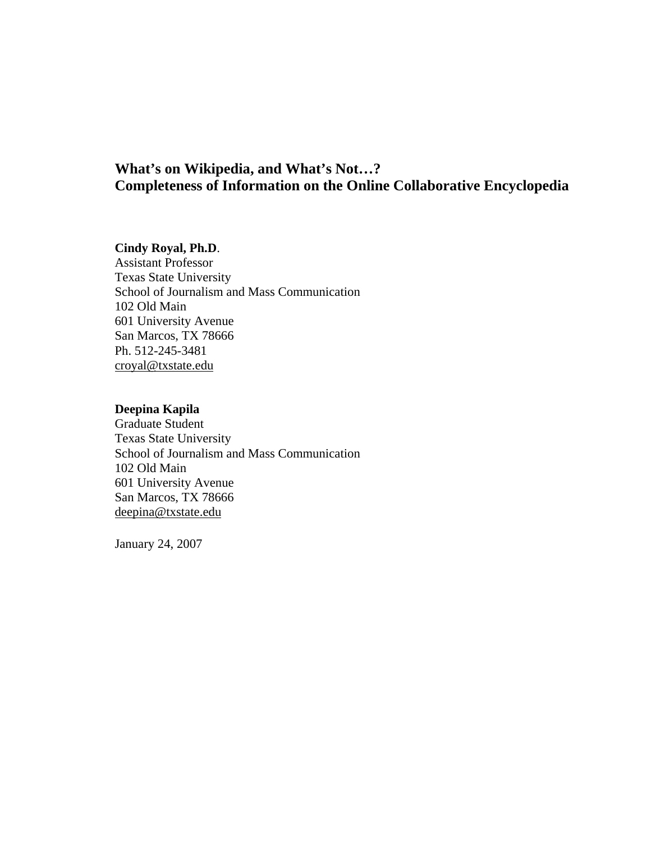# **Cindy Royal, Ph.D**.

Assistant Professor Texas State University School of Journalism and Mass Communication 102 Old Main 601 University Avenue San Marcos, TX 78666 Ph. 512-245-3481 croyal@txstate.edu

## **Deepina Kapila**

Graduate Student Texas State University School of Journalism and Mass Communication 102 Old Main 601 University Avenue San Marcos, TX 78666 deepina@txstate.edu

January 24, 2007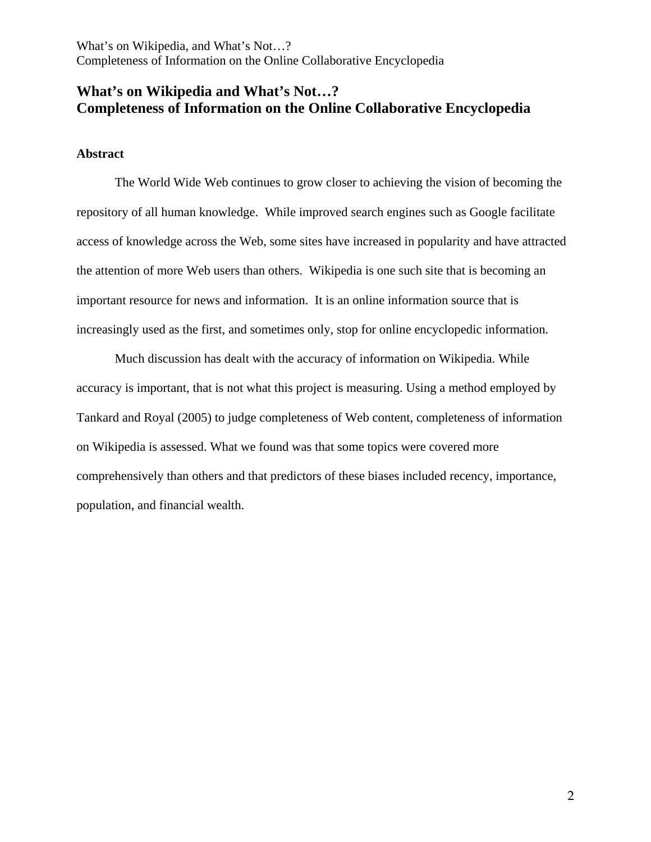# **What's on Wikipedia and What's Not…? Completeness of Information on the Online Collaborative Encyclopedia**

## **Abstract**

The World Wide Web continues to grow closer to achieving the vision of becoming the repository of all human knowledge. While improved search engines such as Google facilitate access of knowledge across the Web, some sites have increased in popularity and have attracted the attention of more Web users than others. Wikipedia is one such site that is becoming an important resource for news and information. It is an online information source that is increasingly used as the first, and sometimes only, stop for online encyclopedic information.

Much discussion has dealt with the accuracy of information on Wikipedia. While accuracy is important, that is not what this project is measuring. Using a method employed by Tankard and Royal (2005) to judge completeness of Web content, completeness of information on Wikipedia is assessed. What we found was that some topics were covered more comprehensively than others and that predictors of these biases included recency, importance, population, and financial wealth.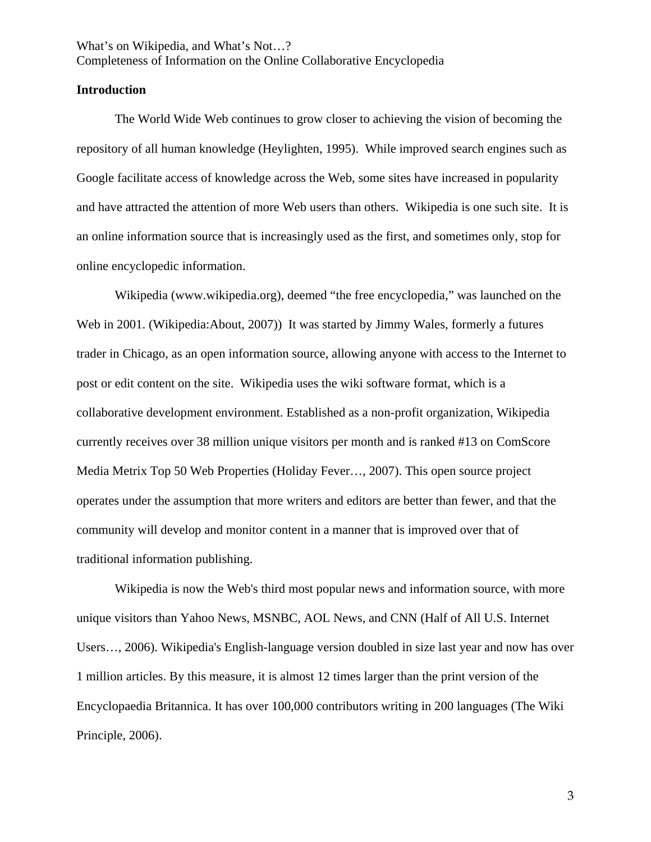#### **Introduction**

The World Wide Web continues to grow closer to achieving the vision of becoming the repository of all human knowledge (Heylighten, 1995). While improved search engines such as Google facilitate access of knowledge across the Web, some sites have increased in popularity and have attracted the attention of more Web users than others. Wikipedia is one such site. It is an online information source that is increasingly used as the first, and sometimes only, stop for online encyclopedic information.

Wikipedia (www.wikipedia.org), deemed "the free encyclopedia," was launched on the Web in 2001. (Wikipedia:About, 2007)) It was started by Jimmy Wales, formerly a futures trader in Chicago, as an open information source, allowing anyone with access to the Internet to post or edit content on the site. Wikipedia uses the wiki software format, which is a collaborative development environment. Established as a non-profit organization, Wikipedia currently receives over 38 million unique visitors per month and is ranked #13 on ComScore Media Metrix Top 50 Web Properties (Holiday Fever…, 2007). This open source project operates under the assumption that more writers and editors are better than fewer, and that the community will develop and monitor content in a manner that is improved over that of traditional information publishing.

Wikipedia is now the Web's third most popular news and information source, with more unique visitors than Yahoo News, MSNBC, AOL News, and CNN (Half of All U.S. Internet Users…, 2006). Wikipedia's English-language version doubled in size last year and now has over 1 million articles. By this measure, it is almost 12 times larger than the print version of the Encyclopaedia Britannica. It has over 100,000 contributors writing in 200 languages (The Wiki Principle, 2006).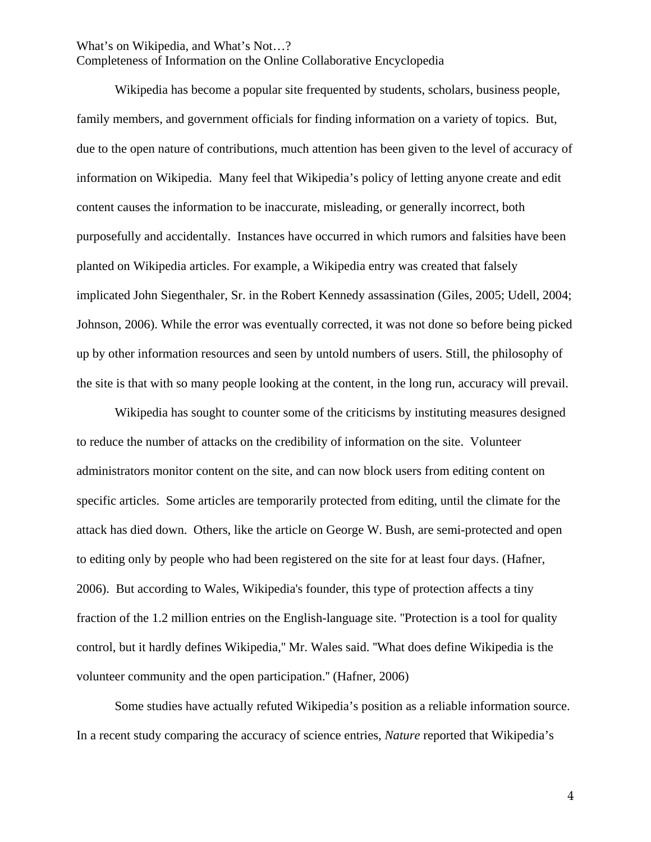Completeness of Information on the Online Collaborative Encyclopedia

Wikipedia has become a popular site frequented by students, scholars, business people, family members, and government officials for finding information on a variety of topics. But, due to the open nature of contributions, much attention has been given to the level of accuracy of information on Wikipedia. Many feel that Wikipedia's policy of letting anyone create and edit content causes the information to be inaccurate, misleading, or generally incorrect, both purposefully and accidentally. Instances have occurred in which rumors and falsities have been planted on Wikipedia articles. For example, a Wikipedia entry was created that falsely implicated John Siegenthaler, Sr. in the Robert Kennedy assassination (Giles, 2005; Udell, 2004; Johnson, 2006). While the error was eventually corrected, it was not done so before being picked up by other information resources and seen by untold numbers of users. Still, the philosophy of the site is that with so many people looking at the content, in the long run, accuracy will prevail.

Wikipedia has sought to counter some of the criticisms by instituting measures designed to reduce the number of attacks on the credibility of information on the site. Volunteer administrators monitor content on the site, and can now block users from editing content on specific articles. Some articles are temporarily protected from editing, until the climate for the attack has died down. Others, like the article on George W. Bush, are semi-protected and open to editing only by people who had been registered on the site for at least four days. (Hafner, 2006). But according to Wales, Wikipedia's founder, this type of protection affects a tiny fraction of the 1.2 million entries on the English-language site. ''Protection is a tool for quality control, but it hardly defines Wikipedia,'' Mr. Wales said. ''What does define Wikipedia is the volunteer community and the open participation.'' (Hafner, 2006)

Some studies have actually refuted Wikipedia's position as a reliable information source. In a recent study comparing the accuracy of science entries, *Nature* reported that Wikipedia's

4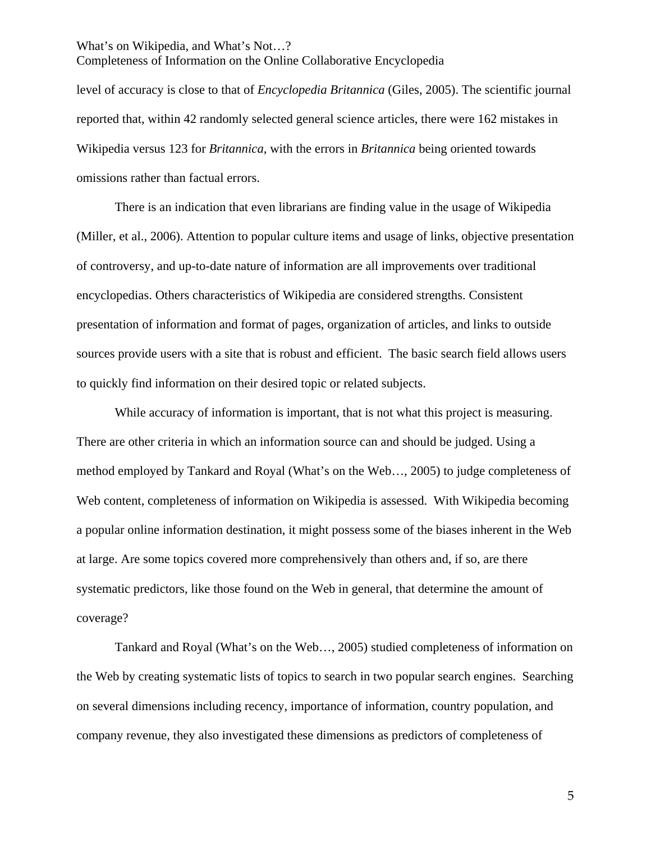level of accuracy is close to that of *Encyclopedia Britannica* (Giles, 2005). The scientific journal reported that, within 42 randomly selected general science articles, there were 162 mistakes in Wikipedia versus 123 for *Britannica*, with the errors in *Britannica* being oriented towards omissions rather than factual errors.

There is an indication that even librarians are finding value in the usage of Wikipedia (Miller, et al., 2006). Attention to popular culture items and usage of links, objective presentation of controversy, and up-to-date nature of information are all improvements over traditional encyclopedias. Others characteristics of Wikipedia are considered strengths. Consistent presentation of information and format of pages, organization of articles, and links to outside sources provide users with a site that is robust and efficient. The basic search field allows users to quickly find information on their desired topic or related subjects.

While accuracy of information is important, that is not what this project is measuring. There are other criteria in which an information source can and should be judged. Using a method employed by Tankard and Royal (What's on the Web…, 2005) to judge completeness of Web content, completeness of information on Wikipedia is assessed. With Wikipedia becoming a popular online information destination, it might possess some of the biases inherent in the Web at large. Are some topics covered more comprehensively than others and, if so, are there systematic predictors, like those found on the Web in general, that determine the amount of coverage?

Tankard and Royal (What's on the Web…, 2005) studied completeness of information on the Web by creating systematic lists of topics to search in two popular search engines. Searching on several dimensions including recency, importance of information, country population, and company revenue, they also investigated these dimensions as predictors of completeness of

5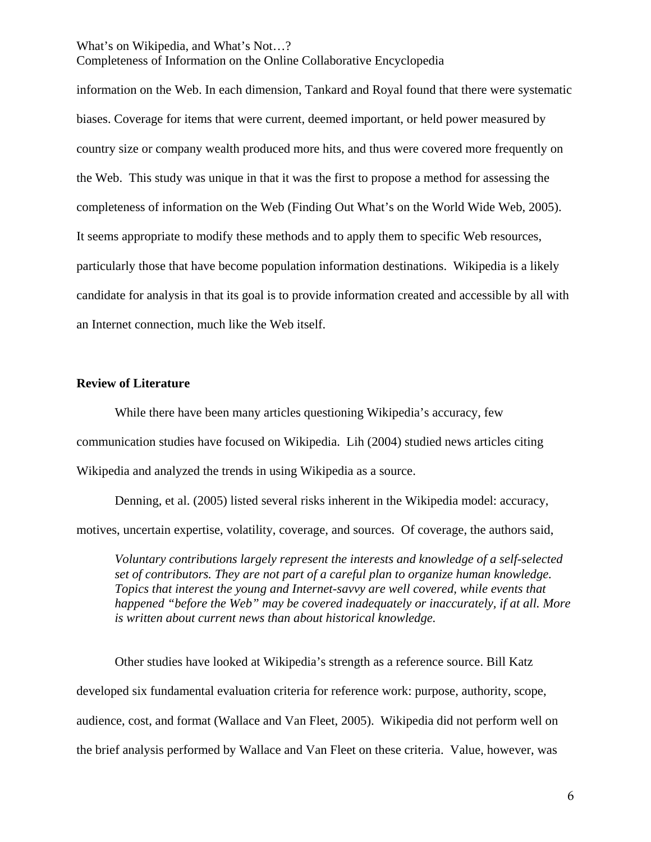Completeness of Information on the Online Collaborative Encyclopedia

information on the Web. In each dimension, Tankard and Royal found that there were systematic biases. Coverage for items that were current, deemed important, or held power measured by country size or company wealth produced more hits, and thus were covered more frequently on the Web. This study was unique in that it was the first to propose a method for assessing the completeness of information on the Web (Finding Out What's on the World Wide Web, 2005). It seems appropriate to modify these methods and to apply them to specific Web resources, particularly those that have become population information destinations. Wikipedia is a likely candidate for analysis in that its goal is to provide information created and accessible by all with an Internet connection, much like the Web itself.

### **Review of Literature**

While there have been many articles questioning Wikipedia's accuracy, few communication studies have focused on Wikipedia. Lih (2004) studied news articles citing Wikipedia and analyzed the trends in using Wikipedia as a source.

Denning, et al. (2005) listed several risks inherent in the Wikipedia model: accuracy, motives, uncertain expertise, volatility, coverage, and sources. Of coverage, the authors said,

*Voluntary contributions largely represent the interests and knowledge of a self-selected set of contributors. They are not part of a careful plan to organize human knowledge. Topics that interest the young and Internet-savvy are well covered, while events that happened "before the Web" may be covered inadequately or inaccurately, if at all. More is written about current news than about historical knowledge.* 

Other studies have looked at Wikipedia's strength as a reference source. Bill Katz developed six fundamental evaluation criteria for reference work: purpose, authority, scope, audience, cost, and format (Wallace and Van Fleet, 2005). Wikipedia did not perform well on the brief analysis performed by Wallace and Van Fleet on these criteria. Value, however, was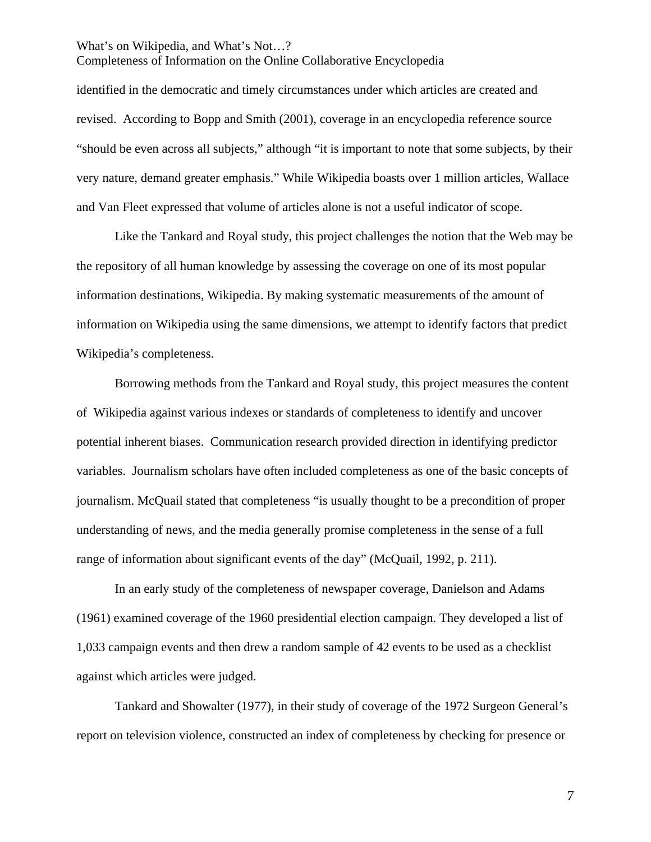Completeness of Information on the Online Collaborative Encyclopedia

identified in the democratic and timely circumstances under which articles are created and revised. According to Bopp and Smith (2001), coverage in an encyclopedia reference source "should be even across all subjects," although "it is important to note that some subjects, by their very nature, demand greater emphasis." While Wikipedia boasts over 1 million articles, Wallace and Van Fleet expressed that volume of articles alone is not a useful indicator of scope.

Like the Tankard and Royal study, this project challenges the notion that the Web may be the repository of all human knowledge by assessing the coverage on one of its most popular information destinations, Wikipedia. By making systematic measurements of the amount of information on Wikipedia using the same dimensions, we attempt to identify factors that predict Wikipedia's completeness.

Borrowing methods from the Tankard and Royal study, this project measures the content of Wikipedia against various indexes or standards of completeness to identify and uncover potential inherent biases. Communication research provided direction in identifying predictor variables. Journalism scholars have often included completeness as one of the basic concepts of journalism. McQuail stated that completeness "is usually thought to be a precondition of proper understanding of news, and the media generally promise completeness in the sense of a full range of information about significant events of the day" (McQuail, 1992, p. 211).

In an early study of the completeness of newspaper coverage, Danielson and Adams (1961) examined coverage of the 1960 presidential election campaign. They developed a list of 1,033 campaign events and then drew a random sample of 42 events to be used as a checklist against which articles were judged.

Tankard and Showalter (1977), in their study of coverage of the 1972 Surgeon General's report on television violence, constructed an index of completeness by checking for presence or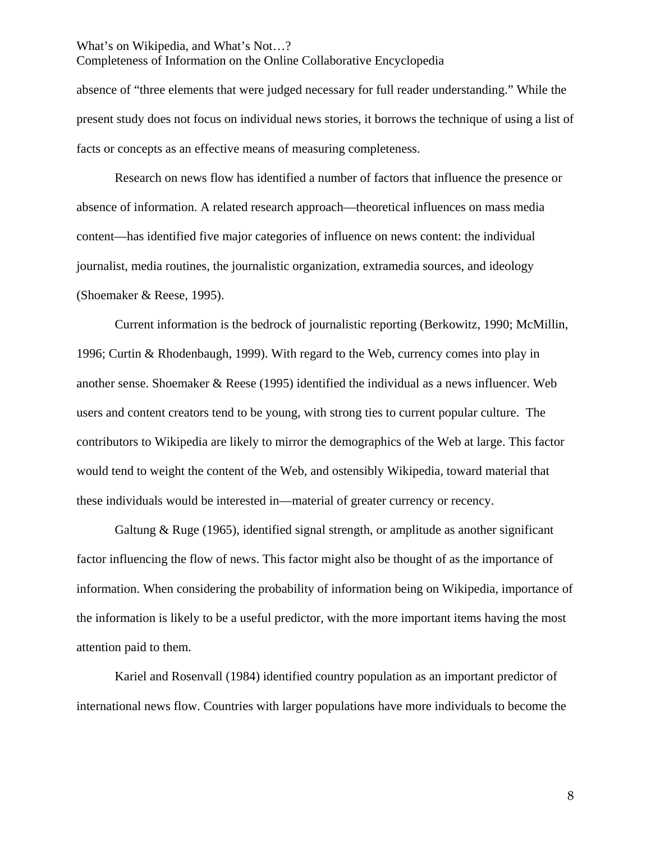absence of "three elements that were judged necessary for full reader understanding." While the present study does not focus on individual news stories, it borrows the technique of using a list of facts or concepts as an effective means of measuring completeness.

 Research on news flow has identified a number of factors that influence the presence or absence of information. A related research approach—theoretical influences on mass media content—has identified five major categories of influence on news content: the individual journalist, media routines, the journalistic organization, extramedia sources, and ideology (Shoemaker & Reese, 1995).

Current information is the bedrock of journalistic reporting (Berkowitz, 1990; McMillin, 1996; Curtin & Rhodenbaugh, 1999). With regard to the Web, currency comes into play in another sense. Shoemaker & Reese (1995) identified the individual as a news influencer. Web users and content creators tend to be young, with strong ties to current popular culture. The contributors to Wikipedia are likely to mirror the demographics of the Web at large. This factor would tend to weight the content of the Web, and ostensibly Wikipedia, toward material that these individuals would be interested in—material of greater currency or recency.

Galtung & Ruge (1965), identified signal strength, or amplitude as another significant factor influencing the flow of news. This factor might also be thought of as the importance of information. When considering the probability of information being on Wikipedia, importance of the information is likely to be a useful predictor, with the more important items having the most attention paid to them.

Kariel and Rosenvall (1984) identified country population as an important predictor of international news flow. Countries with larger populations have more individuals to become the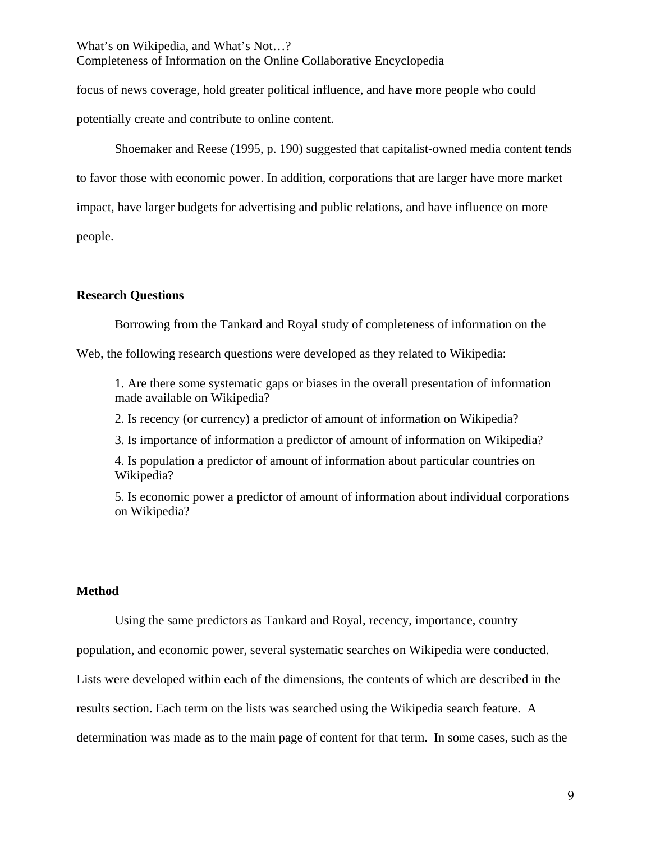focus of news coverage, hold greater political influence, and have more people who could potentially create and contribute to online content.

Shoemaker and Reese (1995, p. 190) suggested that capitalist-owned media content tends to favor those with economic power. In addition, corporations that are larger have more market impact, have larger budgets for advertising and public relations, and have influence on more people.

## **Research Questions**

Borrowing from the Tankard and Royal study of completeness of information on the

Web, the following research questions were developed as they related to Wikipedia:

1. Are there some systematic gaps or biases in the overall presentation of information made available on Wikipedia?

2. Is recency (or currency) a predictor of amount of information on Wikipedia?

3. Is importance of information a predictor of amount of information on Wikipedia?

4. Is population a predictor of amount of information about particular countries on Wikipedia?

5. Is economic power a predictor of amount of information about individual corporations on Wikipedia?

# **Method**

Using the same predictors as Tankard and Royal, recency, importance, country

population, and economic power, several systematic searches on Wikipedia were conducted.

Lists were developed within each of the dimensions, the contents of which are described in the

results section. Each term on the lists was searched using the Wikipedia search feature. A

determination was made as to the main page of content for that term. In some cases, such as the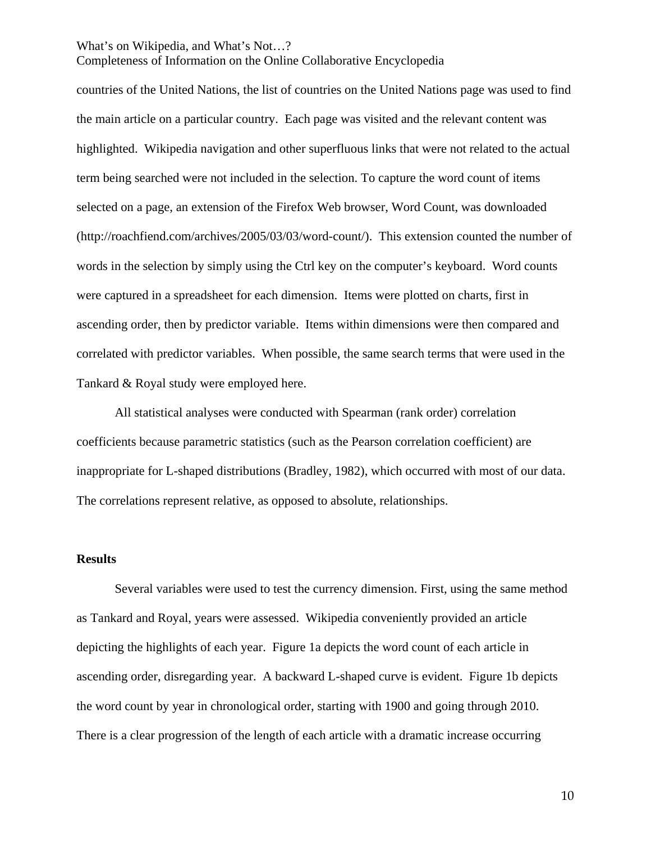Completeness of Information on the Online Collaborative Encyclopedia

countries of the United Nations, the list of countries on the United Nations page was used to find the main article on a particular country. Each page was visited and the relevant content was highlighted. Wikipedia navigation and other superfluous links that were not related to the actual term being searched were not included in the selection. To capture the word count of items selected on a page, an extension of the Firefox Web browser, Word Count, was downloaded (http://roachfiend.com/archives/2005/03/03/word-count/). This extension counted the number of words in the selection by simply using the Ctrl key on the computer's keyboard. Word counts were captured in a spreadsheet for each dimension. Items were plotted on charts, first in ascending order, then by predictor variable. Items within dimensions were then compared and correlated with predictor variables. When possible, the same search terms that were used in the Tankard & Royal study were employed here.

All statistical analyses were conducted with Spearman (rank order) correlation coefficients because parametric statistics (such as the Pearson correlation coefficient) are inappropriate for L-shaped distributions (Bradley, 1982), which occurred with most of our data. The correlations represent relative, as opposed to absolute, relationships.

### **Results**

Several variables were used to test the currency dimension. First, using the same method as Tankard and Royal, years were assessed. Wikipedia conveniently provided an article depicting the highlights of each year. Figure 1a depicts the word count of each article in ascending order, disregarding year. A backward L-shaped curve is evident. Figure 1b depicts the word count by year in chronological order, starting with 1900 and going through 2010. There is a clear progression of the length of each article with a dramatic increase occurring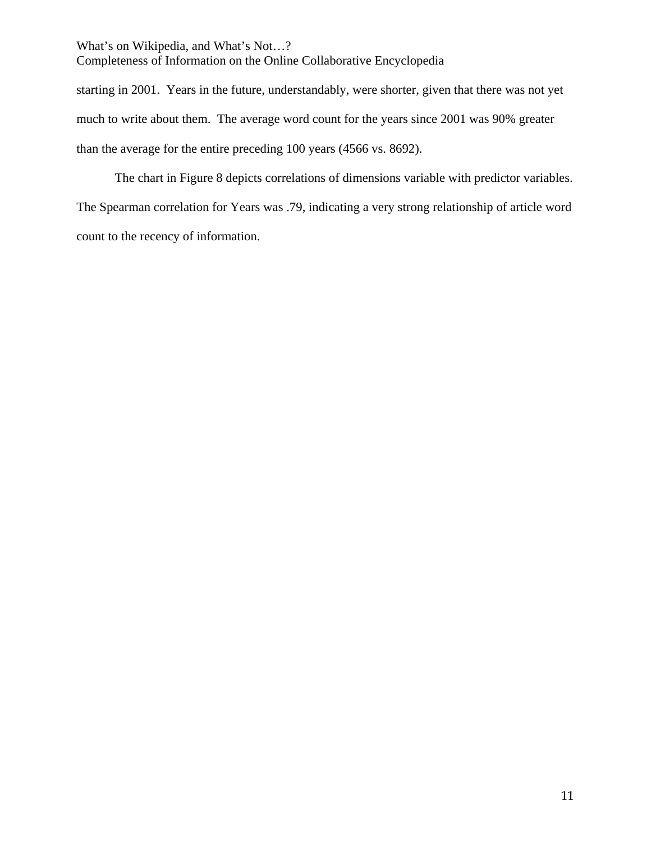starting in 2001. Years in the future, understandably, were shorter, given that there was not yet much to write about them. The average word count for the years since 2001 was 90% greater than the average for the entire preceding 100 years (4566 vs. 8692).

The chart in Figure 8 depicts correlations of dimensions variable with predictor variables. The Spearman correlation for Years was .79, indicating a very strong relationship of article word count to the recency of information.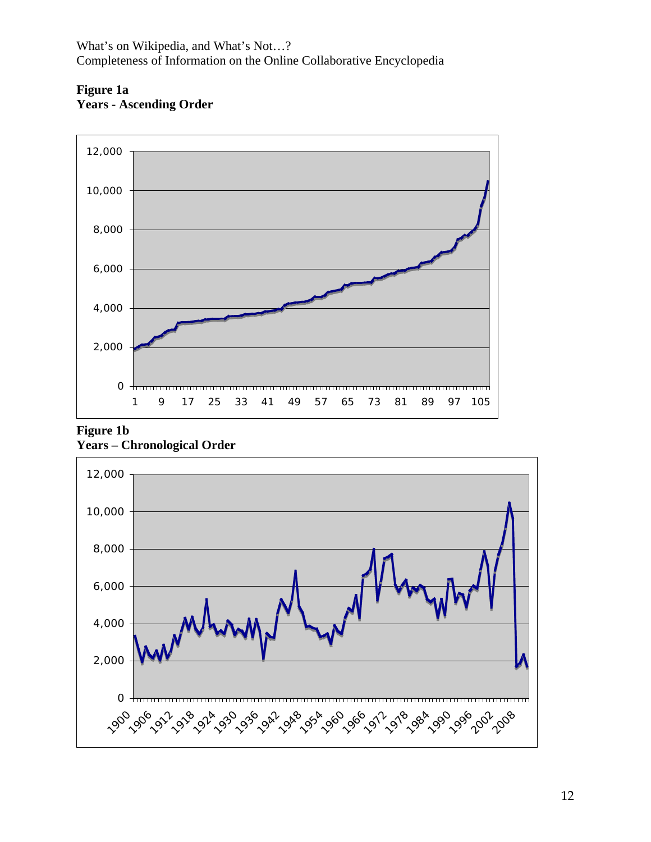

# **Figure 1a Years - Ascending Order**



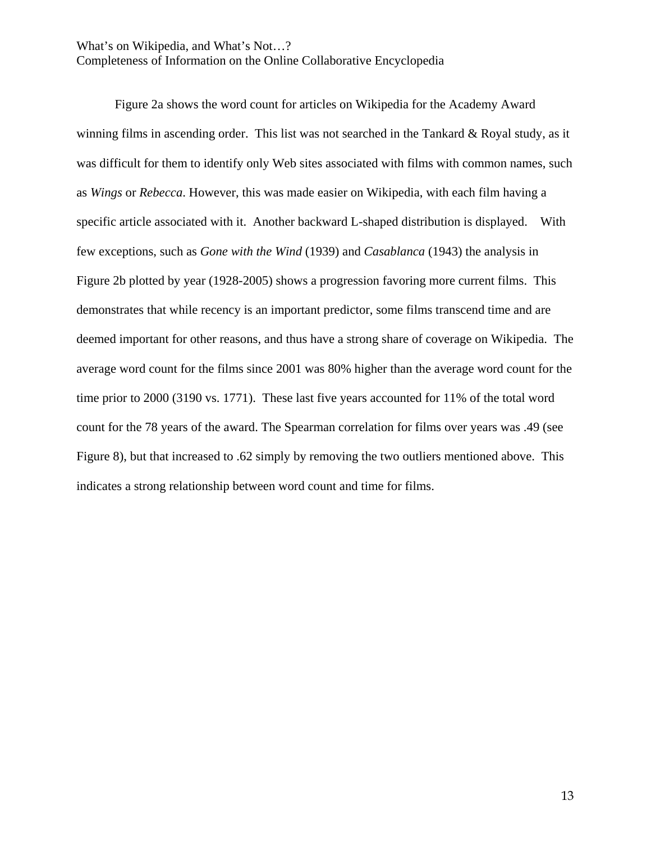Completeness of Information on the Online Collaborative Encyclopedia

Figure 2a shows the word count for articles on Wikipedia for the Academy Award winning films in ascending order. This list was not searched in the Tankard & Royal study, as it was difficult for them to identify only Web sites associated with films with common names, such as *Wings* or *Rebecca*. However, this was made easier on Wikipedia, with each film having a specific article associated with it. Another backward L-shaped distribution is displayed. With few exceptions, such as *Gone with the Wind* (1939) and *Casablanca* (1943) the analysis in Figure 2b plotted by year (1928-2005) shows a progression favoring more current films. This demonstrates that while recency is an important predictor, some films transcend time and are deemed important for other reasons, and thus have a strong share of coverage on Wikipedia. The average word count for the films since 2001 was 80% higher than the average word count for the time prior to  $2000$  (3190 vs. 1771). These last five years accounted for 11% of the total word count for the 78 years of the award. The Spearman correlation for films over years was .49 (see Figure 8), but that increased to .62 simply by removing the two outliers mentioned above. This indicates a strong relationship between word count and time for films.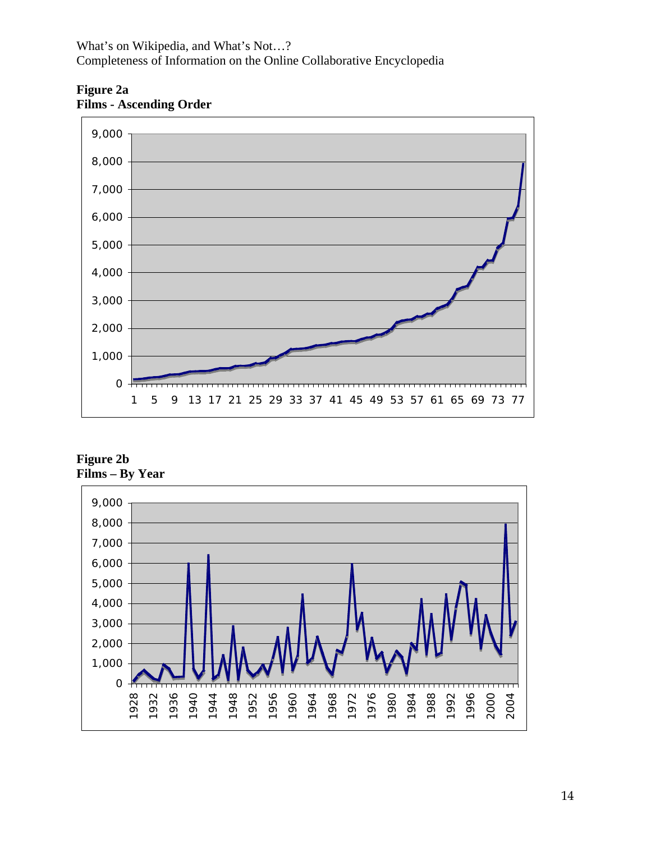

**Figure 2a Films - Ascending Order** 

**Figure 2b Films – By Year** 

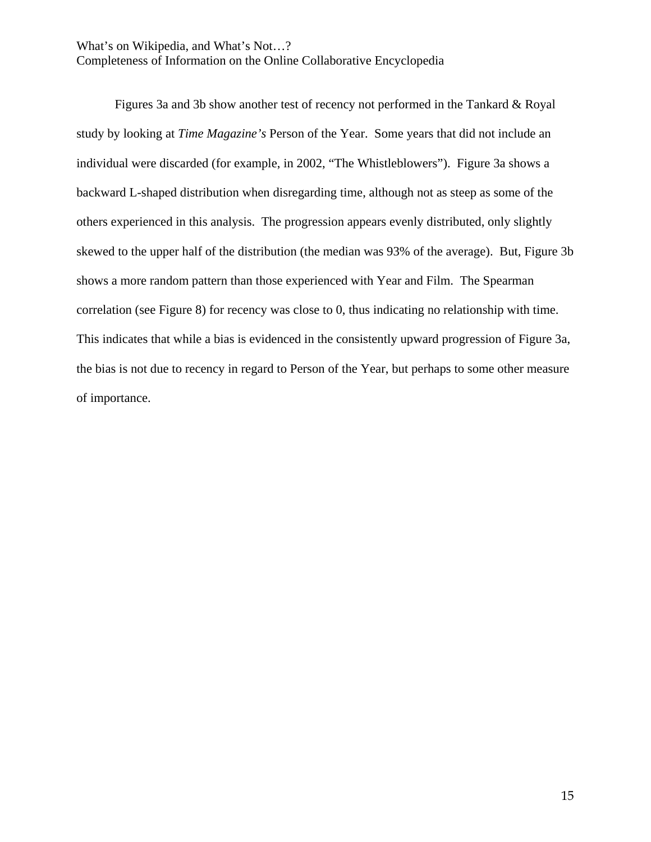Completeness of Information on the Online Collaborative Encyclopedia

Figures 3a and 3b show another test of recency not performed in the Tankard & Royal study by looking at *Time Magazine's* Person of the Year. Some years that did not include an individual were discarded (for example, in 2002, "The Whistleblowers"). Figure 3a shows a backward L-shaped distribution when disregarding time, although not as steep as some of the others experienced in this analysis. The progression appears evenly distributed, only slightly skewed to the upper half of the distribution (the median was 93% of the average). But, Figure 3b shows a more random pattern than those experienced with Year and Film. The Spearman correlation (see Figure 8) for recency was close to 0, thus indicating no relationship with time. This indicates that while a bias is evidenced in the consistently upward progression of Figure 3a, the bias is not due to recency in regard to Person of the Year, but perhaps to some other measure of importance.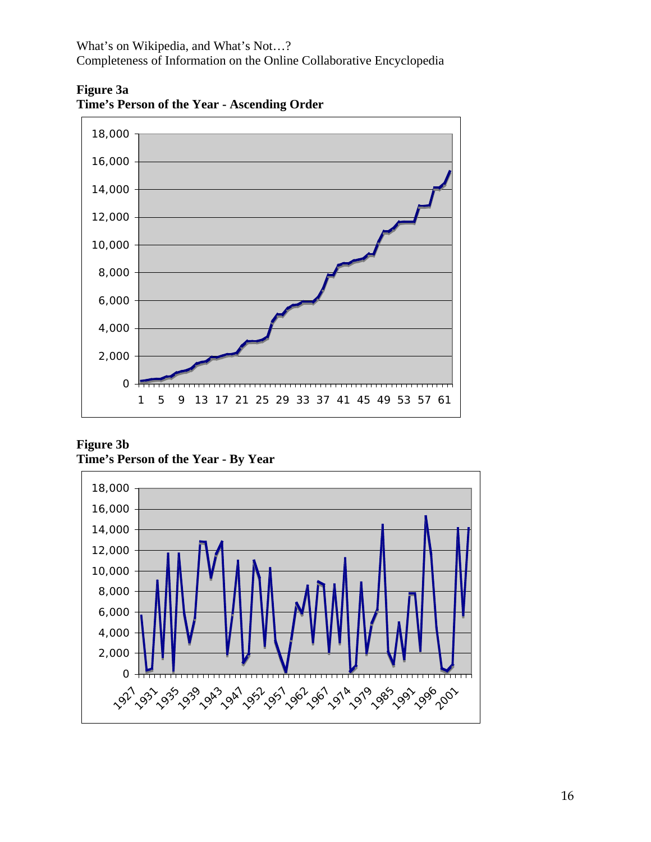Completeness of Information on the Online Collaborative Encyclopedia



**Figure 3a Time's Person of the Year - Ascending Order** 

**Time's Person of the Year - By Year Figure 3b** 

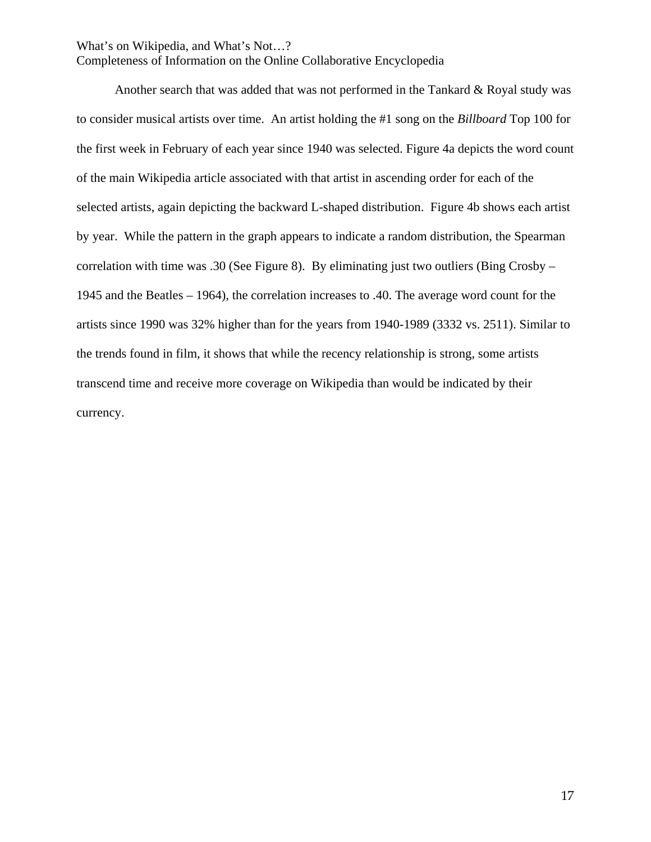Completeness of Information on the Online Collaborative Encyclopedia

Another search that was added that was not performed in the Tankard & Royal study was to consider musical artists over time. An artist holding the #1 song on the *Billboard* Top 100 for the first week in February of each year since 1940 was selected. Figure 4a depicts the word count of the main Wikipedia article associated with that artist in ascending order for each of the selected artists, again depicting the backward L-shaped distribution. Figure 4b shows each artist by year. While the pattern in the graph appears to indicate a random distribution, the Spearman correlation with time was .30 (See Figure 8). By eliminating just two outliers (Bing Crosby – 1945 and the Beatles – 1964), the correlation increases to .40. The average word count for the artists since 1990 was 32% higher than for the years from 1940-1989 (3332 vs. 2511). Similar to the trends found in film, it shows that while the recency relationship is strong, some artists transcend time and receive more coverage on Wikipedia than would be indicated by their currency.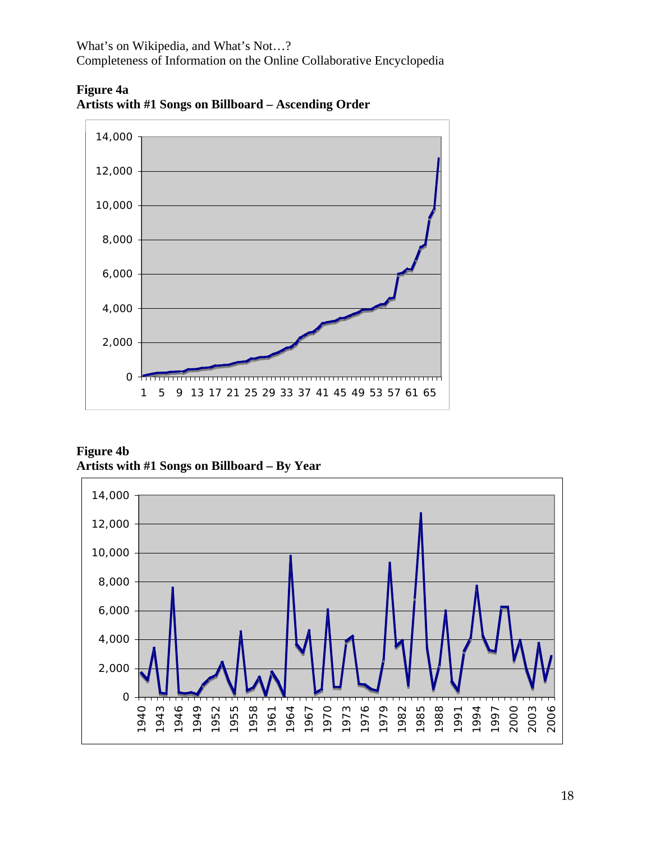Completeness of Information on the Online Collaborative Encyclopedia



**Artists with #1 Songs on Billboard – Ascending Order Figure 4a** 

Artists with #1 Songs on Billboard – By Year **Figure 4b** 

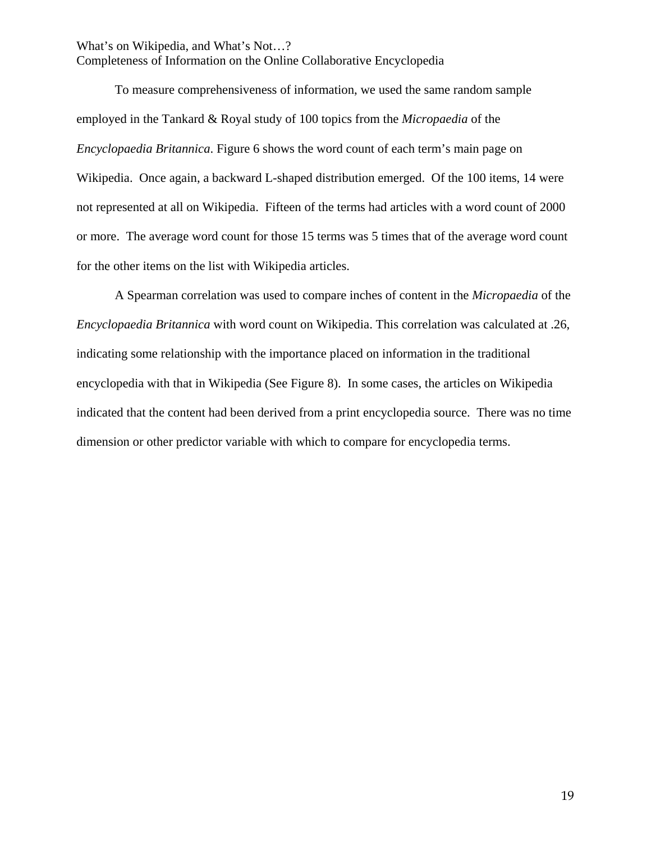To measure comprehensiveness of information, we used the same random sample employed in the Tankard & Royal study of 100 topics from the *Micropaedia* of the *Encyclopaedia Britannica*. Figure 6 shows the word count of each term's main page on Wikipedia. Once again, a backward L-shaped distribution emerged. Of the 100 items, 14 were not represented at all on Wikipedia. Fifteen of the terms had articles with a word count of 2000 or more. The average word count for those 15 terms was 5 times that of the average word count for the other items on the list with Wikipedia articles.

A Spearman correlation was used to compare inches of content in the *Micropaedia* of the *Encyclopaedia Britannica* with word count on Wikipedia. This correlation was calculated at .26, indicating some relationship with the importance placed on information in the traditional encyclopedia with that in Wikipedia (See Figure 8). In some cases, the articles on Wikipedia indicated that the content had been derived from a print encyclopedia source. There was no time dimension or other predictor variable with which to compare for encyclopedia terms.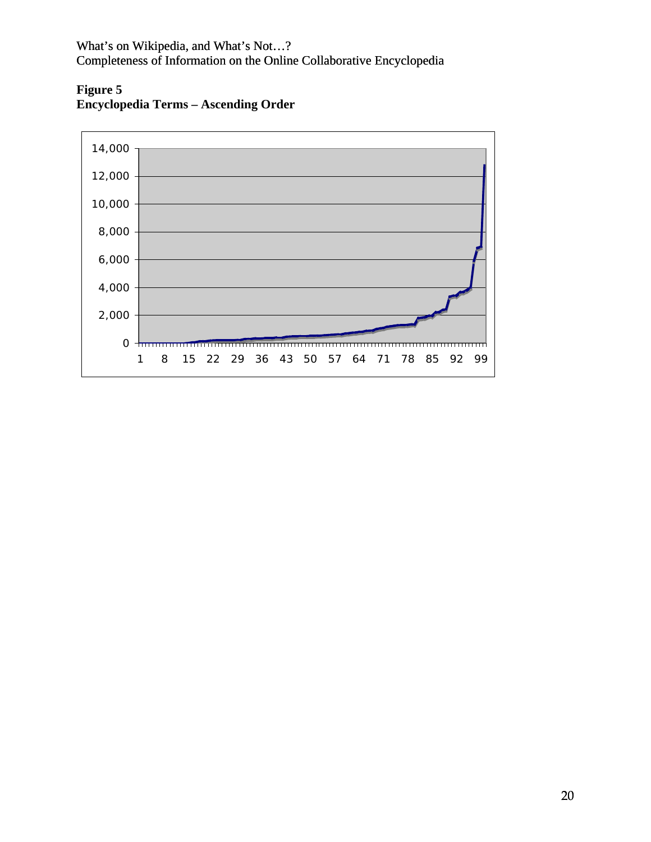**Figure 5 Encyclopedia Terms – Ascending Order** 

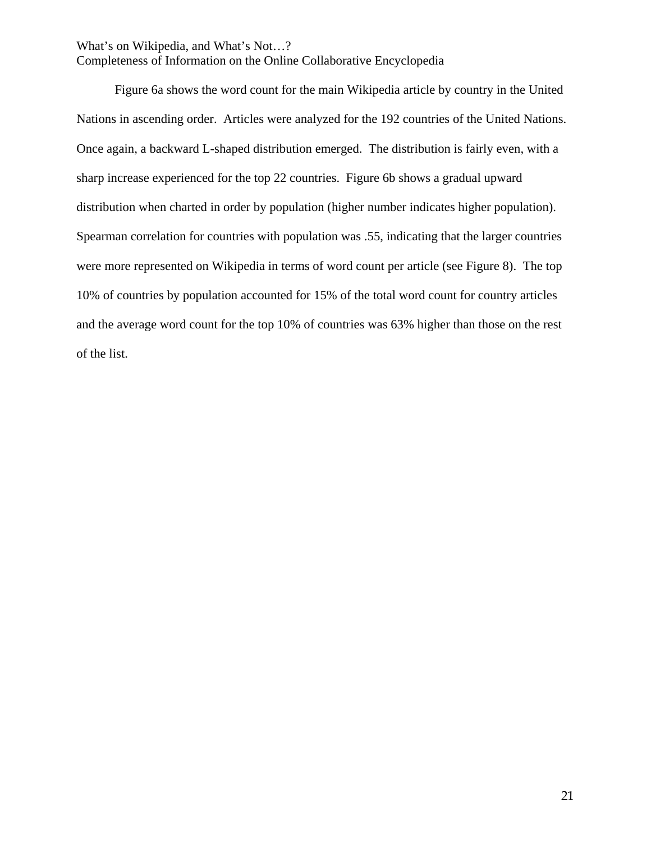Completeness of Information on the Online Collaborative Encyclopedia

Figure 6a shows the word count for the main Wikipedia article by country in the United Nations in ascending order. Articles were analyzed for the 192 countries of the United Nations. Once again, a backward L-shaped distribution emerged. The distribution is fairly even, with a sharp increase experienced for the top 22 countries. Figure 6b shows a gradual upward distribution when charted in order by population (higher number indicates higher population). Spearman correlation for countries with population was .55, indicating that the larger countries were more represented on Wikipedia in terms of word count per article (see Figure 8). The top 10% of countries by population accounted for 15% of the total word count for country articles and the average word count for the top 10% of countries was 63% higher than those on the rest of the list.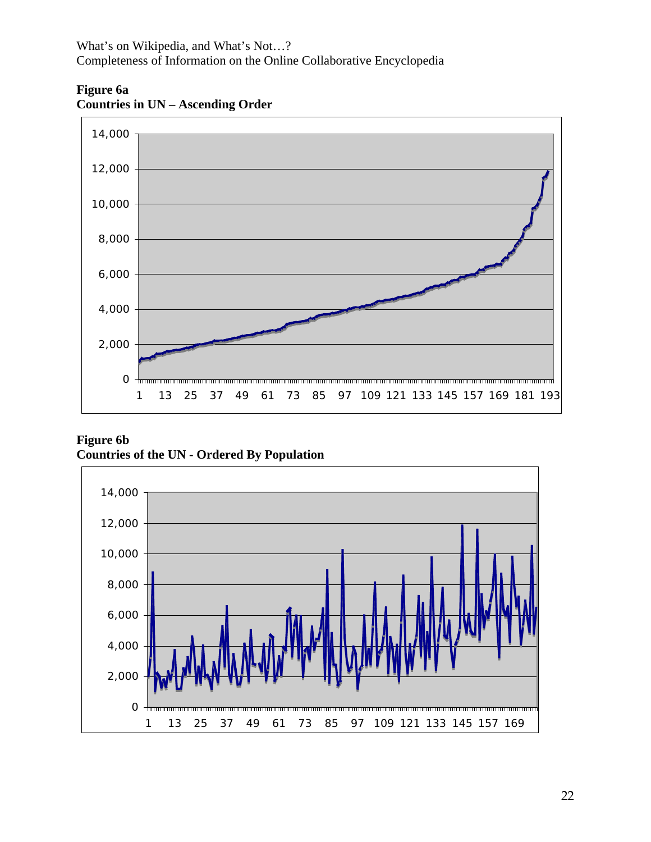

**Figure 6a Countries in UN – Ascending Order** 

**Countries of the UN - Ordered By Population Figure 6b** 

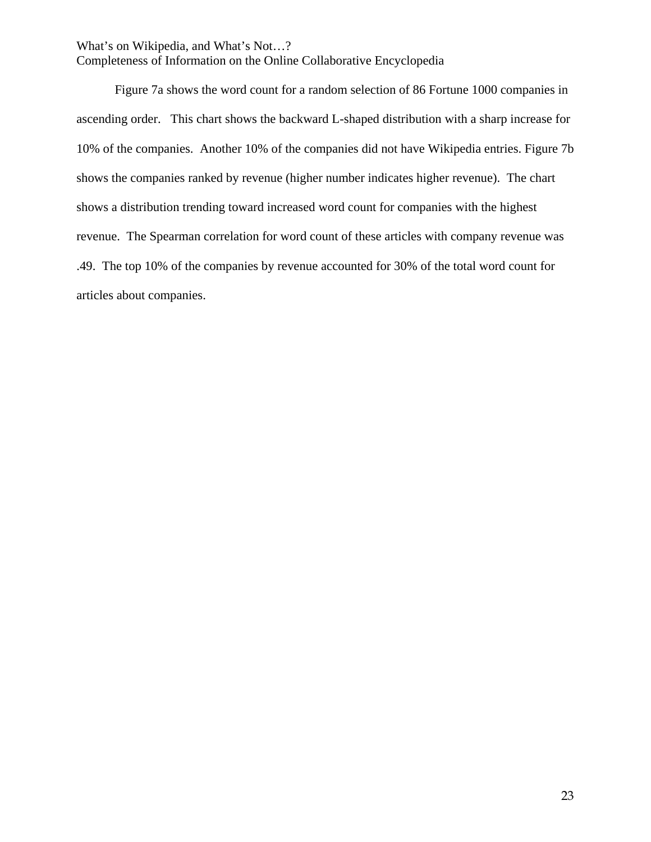Completeness of Information on the Online Collaborative Encyclopedia

Figure 7a shows the word count for a random selection of 86 Fortune 1000 companies in ascending order. This chart shows the backward L-shaped distribution with a sharp increase for 10% of the companies. Another 10% of the companies did not have Wikipedia entries. Figure 7b shows the companies ranked by revenue (higher number indicates higher revenue). The chart shows a distribution trending toward increased word count for companies with the highest revenue. The Spearman correlation for word count of these articles with company revenue was .49. The top 10% of the companies by revenue accounted for 30% of the total word count for articles about companies.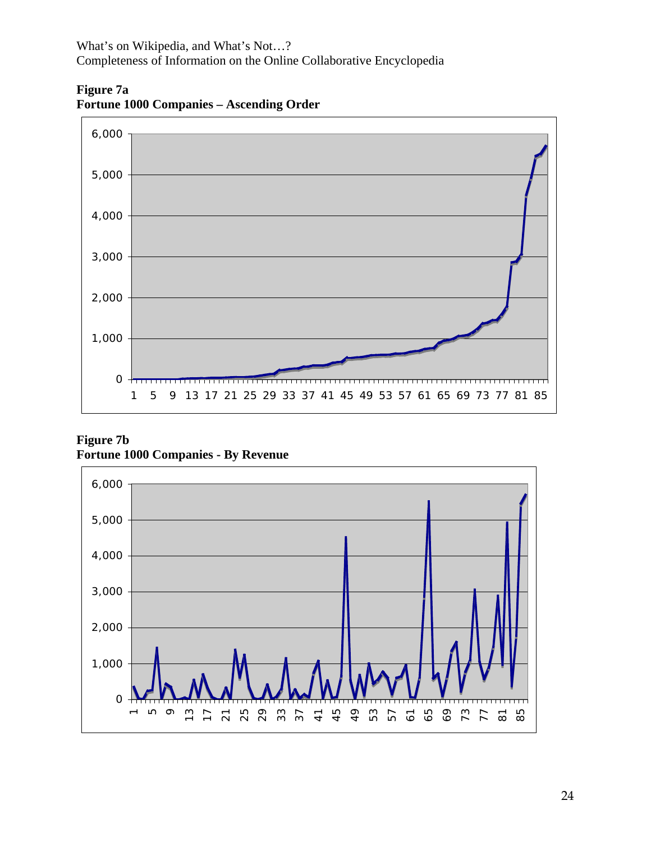**Figure 7a Fortune 1000 Companies – Ascending Order** 



**Figure 7b Fortune 1000 Companies - By Revenue** 

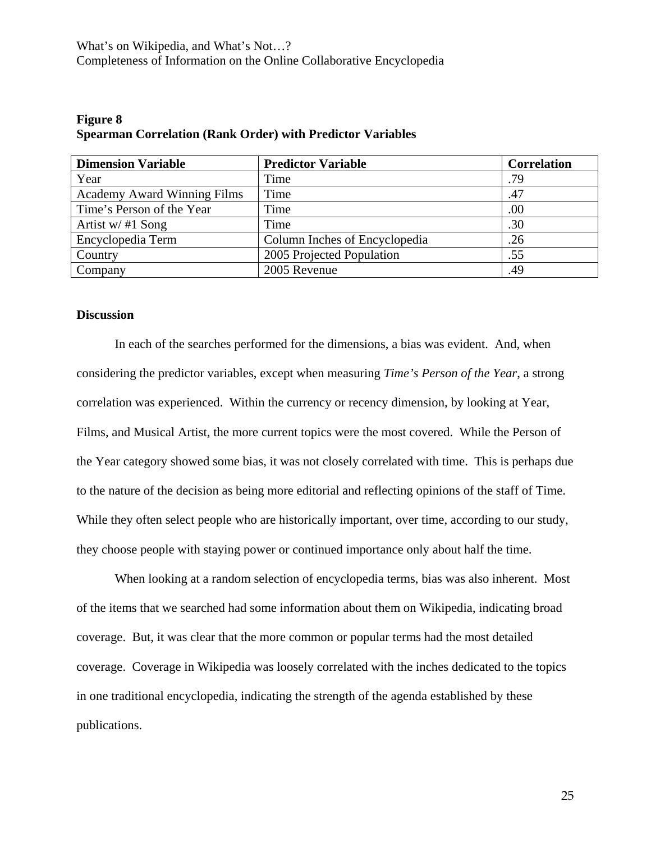| <b>Dimension Variable</b>          | <b>Predictor Variable</b>     | <b>Correlation</b> |
|------------------------------------|-------------------------------|--------------------|
| Year                               | Time                          | .79                |
| <b>Academy Award Winning Films</b> | Time                          | .47                |
| Time's Person of the Year          | Time                          | .00                |
| Artist w/ $#1$ Song                | Time                          | .30                |
| Encyclopedia Term                  | Column Inches of Encyclopedia | .26                |
| Country                            | 2005 Projected Population     | .55                |
| Company                            | 2005 Revenue                  | .49                |

# **Figure 8 Spearman Correlation (Rank Order) with Predictor Variables**

#### **Discussion**

In each of the searches performed for the dimensions, a bias was evident. And, when considering the predictor variables, except when measuring *Time's Person of the Year*, a strong correlation was experienced. Within the currency or recency dimension, by looking at Year, Films, and Musical Artist, the more current topics were the most covered. While the Person of the Year category showed some bias, it was not closely correlated with time. This is perhaps due to the nature of the decision as being more editorial and reflecting opinions of the staff of Time. While they often select people who are historically important, over time, according to our study, they choose people with staying power or continued importance only about half the time.

When looking at a random selection of encyclopedia terms, bias was also inherent. Most of the items that we searched had some information about them on Wikipedia, indicating broad coverage. But, it was clear that the more common or popular terms had the most detailed coverage. Coverage in Wikipedia was loosely correlated with the inches dedicated to the topics in one traditional encyclopedia, indicating the strength of the agenda established by these publications.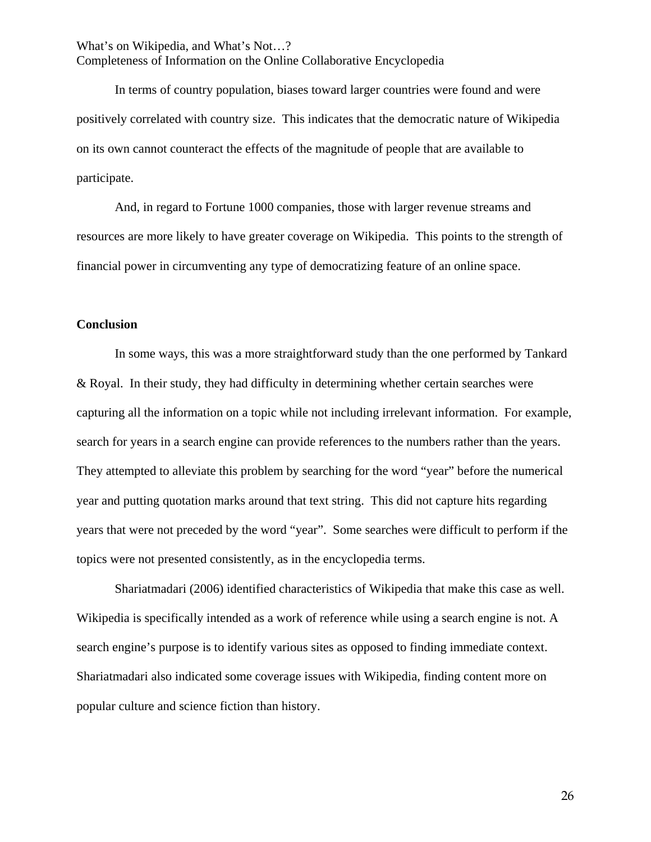In terms of country population, biases toward larger countries were found and were positively correlated with country size. This indicates that the democratic nature of Wikipedia on its own cannot counteract the effects of the magnitude of people that are available to participate.

And, in regard to Fortune 1000 companies, those with larger revenue streams and resources are more likely to have greater coverage on Wikipedia. This points to the strength of financial power in circumventing any type of democratizing feature of an online space.

# **Conclusion**

In some ways, this was a more straightforward study than the one performed by Tankard & Royal. In their study, they had difficulty in determining whether certain searches were capturing all the information on a topic while not including irrelevant information. For example, search for years in a search engine can provide references to the numbers rather than the years. They attempted to alleviate this problem by searching for the word "year" before the numerical year and putting quotation marks around that text string. This did not capture hits regarding years that were not preceded by the word "year". Some searches were difficult to perform if the topics were not presented consistently, as in the encyclopedia terms.

Shariatmadari (2006) identified characteristics of Wikipedia that make this case as well. Wikipedia is specifically intended as a work of reference while using a search engine is not. A search engine's purpose is to identify various sites as opposed to finding immediate context. Shariatmadari also indicated some coverage issues with Wikipedia, finding content more on popular culture and science fiction than history.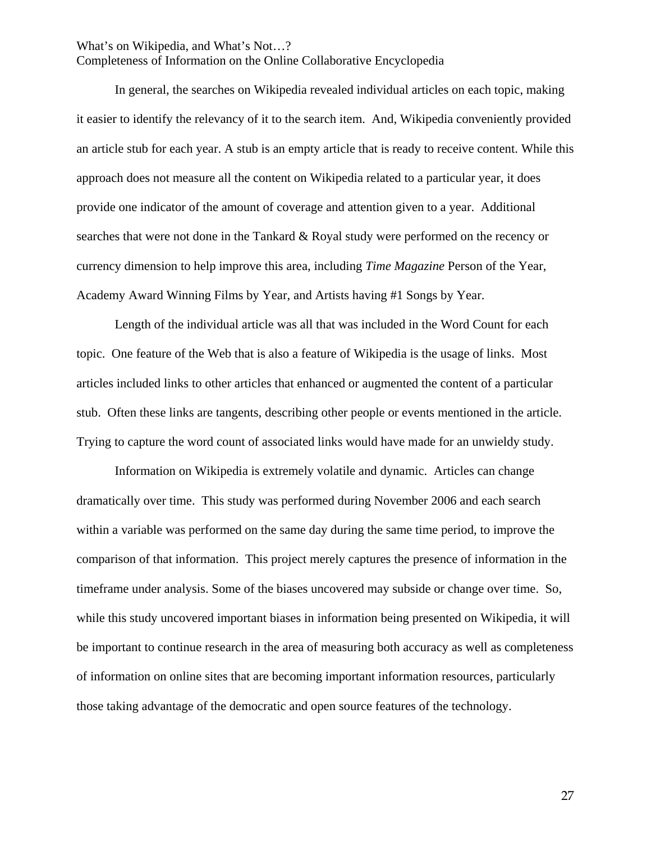Completeness of Information on the Online Collaborative Encyclopedia

Academy Award Winning Films by Year, and Artists having #1 Songs by Year. In general, the searches on Wikipedia revealed individual articles on each topic, making it easier to identify the relevancy of it to the search item. And, Wikipedia conveniently provided an article stub for each year. A stub is an empty article that is ready to receive content. While this approach does not measure all the content on Wikipedia related to a particular year, it does provide one indicator of the amount of coverage and attention given to a year. Additional searches that were not done in the Tankard & Royal study were performed on the recency or currency dimension to help improve this area, including *Time Magazine* Person of the Year,

Length of the individual article was all that was included in the Word Count for each topic. One feature of the Web that is also a feature of Wikipedia is the usage of links. Most articles included links to other articles that enhanced or augmented the content of a particular stub. Often these links are tangents, describing other people or events mentioned in the article. Trying to capture the word count of associated links would have made for an unwieldy study.

Information on Wikipedia is extremely volatile and dynamic. Articles can change dramatically over time. This study was performed during November 2006 and each search within a variable was performed on the same day during the same time period, to improve the comparison of that information. This project merely captures the presence of information in the timeframe under analysis. Some of the biases uncovered may subside or change over time. So, while this study uncovered important biases in information being presented on Wikipedia, it will be important to continue research in the area of measuring both accuracy as well as completeness of information on online sites that are becoming important information resources, particularly those taking advantage of the democratic and open source features of the technology.

27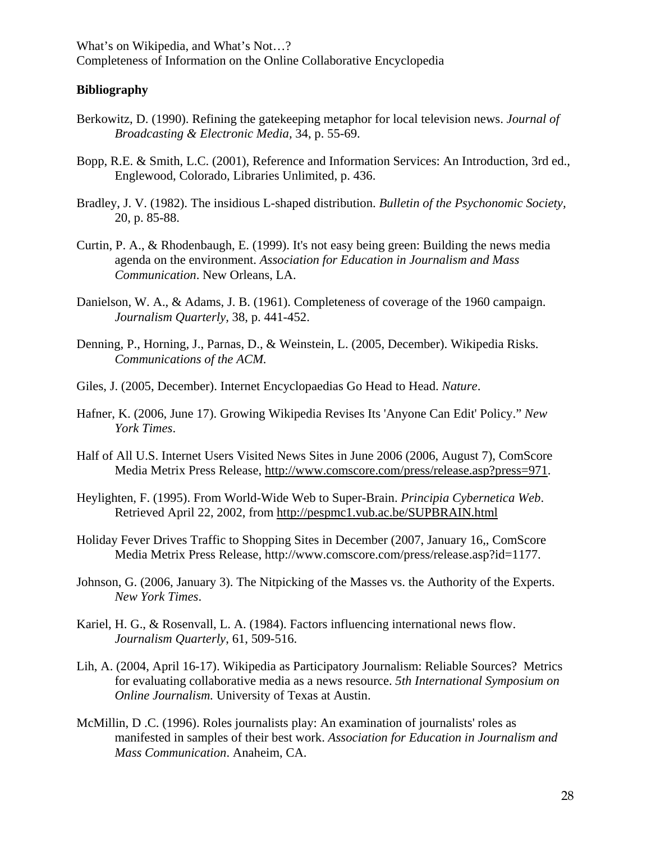# **Bibliography**

- Berkowitz, D. (1990). Refining the gatekeeping metaphor for local television news. *Journal of Broadcasting & Electronic Media,* 34, p. 55-69.
- Bopp, R.E. & Smith, L.C. (2001), Reference and Information Services: An Introduction, 3rd ed., Englewood, Colorado, Libraries Unlimited, p. 436.
- Bradley, J. V. (1982). The insidious L-shaped distribution. *Bulletin of the Psychonomic Society,* 20, p. 85-88.
- Curtin, P. A., & Rhodenbaugh, E. (1999). It's not easy being green: Building the news media agenda on the environment. *Association for Education in Journalism and Mass Communication*. New Orleans, LA.
- Danielson, W. A., & Adams, J. B. (1961). Completeness of coverage of the 1960 campaign. *Journalism Quarterly,* 38, p. 441-452.
- Denning, P., Horning, J., Parnas, D., & Weinstein, L. (2005, December). Wikipedia Risks. *Communications of the ACM.*
- Giles, J. (2005, December). Internet Encyclopaedias Go Head to Head. *Nature*.
- Hafner, K. (2006, June 17). Growing Wikipedia Revises Its 'Anyone Can Edit' Policy." *New York Times*.
- Half of All U.S. Internet Users Visited News Sites in June 2006 (2006, August 7), ComScore Media Metrix Press Release, http://www.comscore.com/press/release.asp?press=971.
- Heylighten, F. (1995). From World-Wide Web to Super-Brain. *Principia Cybernetica Web*. Retrieved April 22, 2002, from http://pespmc1.vub.ac.be/SUPBRAIN.html
- Holiday Fever Drives Traffic to Shopping Sites in December (2007, January 16,, ComScore Media Metrix Press Release, http://www.comscore.com/press/release.asp?id=1177.
- Johnson, G. (2006, January 3). The Nitpicking of the Masses vs. the Authority of the Experts. *New York Times*.
- Kariel, H. G., & Rosenvall, L. A. (1984). Factors influencing international news flow. *Journalism Quarterly*, 61, 509-516.
- Lih, A. (2004, April 16-17). Wikipedia as Participatory Journalism: Reliable Sources? Metrics for evaluating collaborative media as a news resource. *5th International Symposium on Online Journalism.* University of Texas at Austin.
- McMillin, D .C. (1996). Roles journalists play: An examination of journalists' roles as manifested in samples of their best work. *Association for Education in Journalism and Mass Communication*. Anaheim, CA.